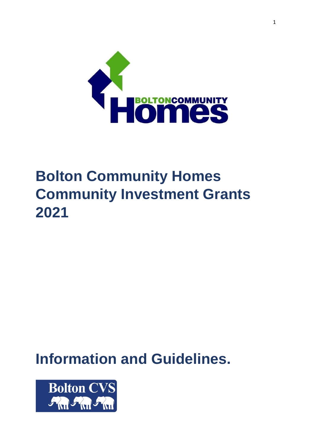

# **Bolton Community Homes Community Investment Grants 2021**

# **Information and Guidelines.**

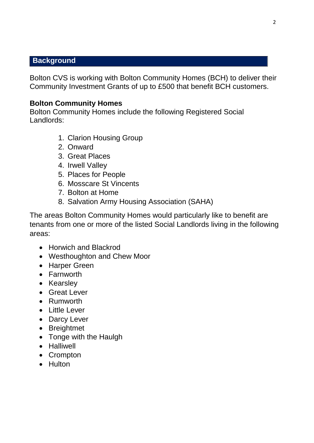#### **Background**

Bolton CVS is working with Bolton Community Homes (BCH) to deliver their Community Investment Grants of up to £500 that benefit BCH customers.

#### **Bolton Community Homes**

Bolton Community Homes include the following Registered Social Landlords:

- 1. Clarion Housing Group
- 2. Onward
- 3. Great Places
- 4. Irwell Valley
- 5. Places for People
- 6. Mosscare St Vincents
- 7. Bolton at Home
- 8. Salvation Army Housing Association (SAHA)

The areas Bolton Community Homes would particularly like to benefit are tenants from one or more of the listed Social Landlords living in the following areas:

- Horwich and Blackrod
- Westhoughton and Chew Moor
- Harper Green
- Farnworth
- Kearsley
- **•** Great Lever
- Rumworth
- Little Lever
- Darcy Lever
- Breightmet
- Tonge with the Haulgh
- Halliwell
- Crompton
- Hulton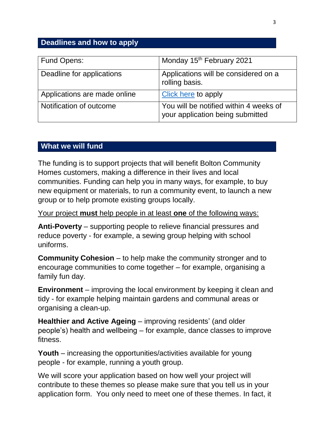# **Deadlines and how to apply**

| Fund Opens:                  | Monday 15 <sup>th</sup> February 2021                                      |
|------------------------------|----------------------------------------------------------------------------|
| Deadline for applications    | Applications will be considered on a<br>rolling basis.                     |
| Applications are made online | Click here to apply                                                        |
| Notification of outcome      | You will be notified within 4 weeks of<br>your application being submitted |

#### **What we will fund**

The funding is to support projects that will benefit Bolton Community Homes customers, making a difference in their lives and local communities. Funding can help you in many ways, for example, to buy new equipment or materials, to run a community event, to launch a new group or to help promote existing groups locally.

Your project **must** help people in at least **one** of the following ways:

**Anti-Poverty** – supporting people to relieve financial pressures and reduce poverty - for example, a sewing group helping with school uniforms.

**Community Cohesion** – to help make the community stronger and to encourage communities to come together – for example, organising a family fun day.

**Environment** – improving the local environment by keeping it clean and tidy - for example helping maintain gardens and communal areas or organising a clean-up.

**Healthier and Active Ageing** – improving residents' (and older people's) health and wellbeing – for example, dance classes to improve fitness.

**Youth** – increasing the opportunities/activities available for young people - for example, running a youth group.

We will score your application based on how well your project will contribute to these themes so please make sure that you tell us in your application form. You only need to meet one of these themes. In fact, it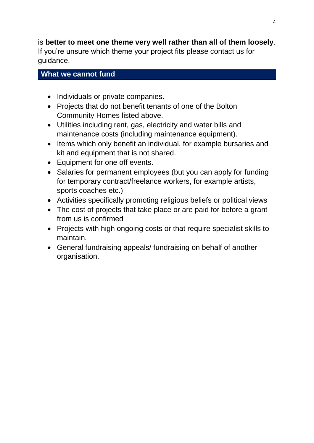# is **better to meet one theme very well rather than all of them loosely**. If you're unsure which theme your project fits please contact us for guidance.

# **What we cannot fund**

- Individuals or private companies.
- Projects that do not benefit tenants of one of the Bolton Community Homes listed above.
- Utilities including rent, gas, electricity and water bills and maintenance costs (including maintenance equipment).
- Items which only benefit an individual, for example bursaries and kit and equipment that is not shared.
- Equipment for one off events.
- Salaries for permanent employees (but you can apply for funding for temporary contract/freelance workers, for example artists, sports coaches etc.)
- Activities specifically promoting religious beliefs or political views
- The cost of projects that take place or are paid for before a grant from us is confirmed
- Projects with high ongoing costs or that require specialist skills to maintain.
- General fundraising appeals/ fundraising on behalf of another organisation.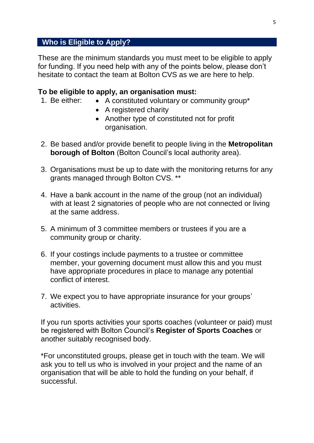# **Who is Eligible to Apply?**

These are the minimum standards you must meet to be eligible to apply for funding. If you need help with any of the points below, please don't hesitate to contact the team at Bolton CVS as we are here to help.

#### **To be eligible to apply, an organisation must:**

- 1. Be either:  $\bullet$  A constituted voluntary or community group\*
	- A registered charity
	- Another type of constituted not for profit organisation.
- 2. Be based and/or provide benefit to people living in the **Metropolitan borough of Bolton** (Bolton Council's local authority area).
- 3. Organisations must be up to date with the monitoring returns for any grants managed through Bolton CVS. \*\*
- 4. Have a bank account in the name of the group (not an individual) with at least 2 signatories of people who are not connected or living at the same address.
- 5. A minimum of 3 committee members or trustees if you are a community group or charity.
- 6. If your costings include payments to a trustee or committee member, your governing document must allow this and you must have appropriate procedures in place to manage any potential conflict of interest.
- 7. We expect you to have appropriate insurance for your groups' activities.

If you run sports activities your sports coaches (volunteer or paid) must be registered with Bolton Council's **Register of Sports Coaches** or another suitably recognised body.

\*For unconstituted groups, please get in touch with the team. We will ask you to tell us who is involved in your project and the name of an organisation that will be able to hold the funding on your behalf, if successful.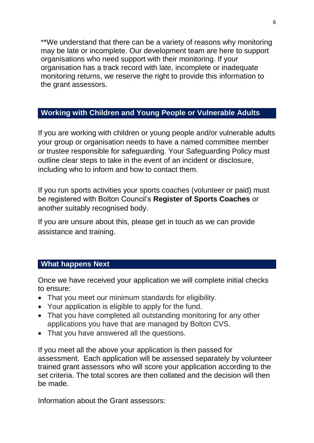\*\*We understand that there can be a variety of reasons why monitoring may be late or incomplete. Our development team are here to support organisations who need support with their monitoring. If your organisation has a track record with late, incomplete or inadequate monitoring returns, we reserve the right to provide this information to the grant assessors.

# **Working with Children and Young People or Vulnerable Adults**

If you are working with children or young people and/or vulnerable adults your group or organisation needs to have a named committee member or trustee responsible for safeguarding. Your Safeguarding Policy must outline clear steps to take in the event of an incident or disclosure, including who to inform and how to contact them.

If you run sports activities your sports coaches (volunteer or paid) must be registered with Bolton Council's **Register of Sports Coaches** or another suitably recognised body.

If you are unsure about this, please get in touch as we can provide assistance and training.

#### **What happens Next**

Once we have received your application we will complete initial checks to ensure:

- That you meet our [minimum standards for](https://www.bbcchildreninneed.co.uk/wp-content/uploads/2019/09/External-Minimum-Standards.pdf) eligibility.
- Your application is eligible to apply for the fund.
- That you have completed all outstanding monitoring for any other applications you have that are managed by Bolton CVS.
- That you have answered all the questions.

If you meet all the above your application is then passed for assessment. Each application will be assessed separately by volunteer trained grant assessors who will score your application according to the set criteria. The total scores are then collated and the decision will then be made.

Information about the Grant assessors: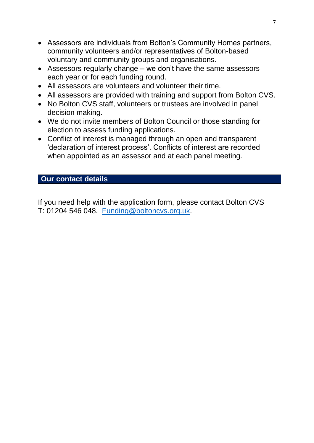- Assessors are individuals from Bolton's Community Homes partners, community volunteers and/or representatives of Bolton-based voluntary and community groups and organisations.
- Assessors regularly change we don't have the same assessors each year or for each funding round.
- All assessors are volunteers and volunteer their time.
- All assessors are provided with training and support from Bolton CVS.
- No Bolton CVS staff, volunteers or trustees are involved in panel decision making.
- We do not invite members of Bolton Council or those standing for election to assess funding applications.
- Conflict of interest is managed through an open and transparent 'declaration of interest process'. Conflicts of interest are recorded when appointed as an assessor and at each panel meeting.

#### **Our contact details**

If you need help with the application form, please contact Bolton CVS T: 01204 546 048. [Funding@boltoncvs.org.uk.](mailto:Funding@boltoncvs.org.uk)